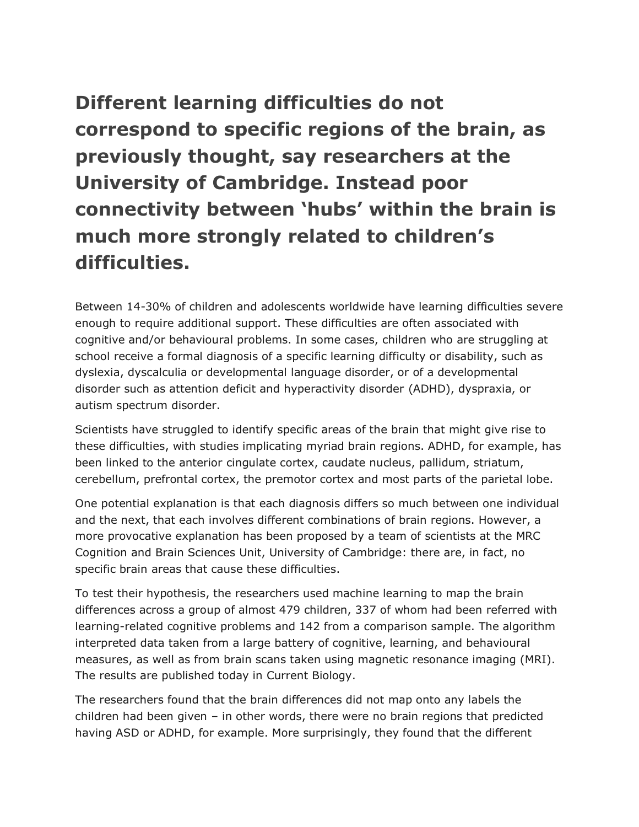**Different learning difficulties do not correspond to specific regions of the brain, as previously thought, say researchers at the University of Cambridge. Instead poor connectivity between 'hubs' within the brain is much more strongly related to children's difficulties.**

Between 14-30% of children and adolescents worldwide have learning difficulties severe enough to require additional support. These difficulties are often associated with cognitive and/or behavioural problems. In some cases, children who are struggling at school receive a formal diagnosis of a specific learning difficulty or disability, such as dyslexia, dyscalculia or developmental language disorder, or of a developmental disorder such as attention deficit and hyperactivity disorder (ADHD), dyspraxia, or autism spectrum disorder.

Scientists have struggled to identify specific areas of the brain that might give rise to these difficulties, with studies implicating myriad brain regions. ADHD, for example, has been linked to the anterior cingulate cortex, caudate nucleus, pallidum, striatum, cerebellum, prefrontal cortex, the premotor cortex and most parts of the parietal lobe.

One potential explanation is that each diagnosis differs so much between one individual and the next, that each involves different combinations of brain regions. However, a more provocative explanation has been proposed by a team of scientists at the MRC Cognition and Brain Sciences Unit, University of Cambridge: there are, in fact, no specific brain areas that cause these difficulties.

To test their hypothesis, the researchers used machine learning to map the brain differences across a group of almost 479 children, 337 of whom had been referred with learning-related cognitive problems and 142 from a comparison sample. The algorithm interpreted data taken from a large battery of cognitive, learning, and behavioural measures, as well as from brain scans taken using magnetic resonance imaging (MRI). The results are published today in Current Biology.

The researchers found that the brain differences did not map onto any labels the children had been given – in other words, there were no brain regions that predicted having ASD or ADHD, for example. More surprisingly, they found that the different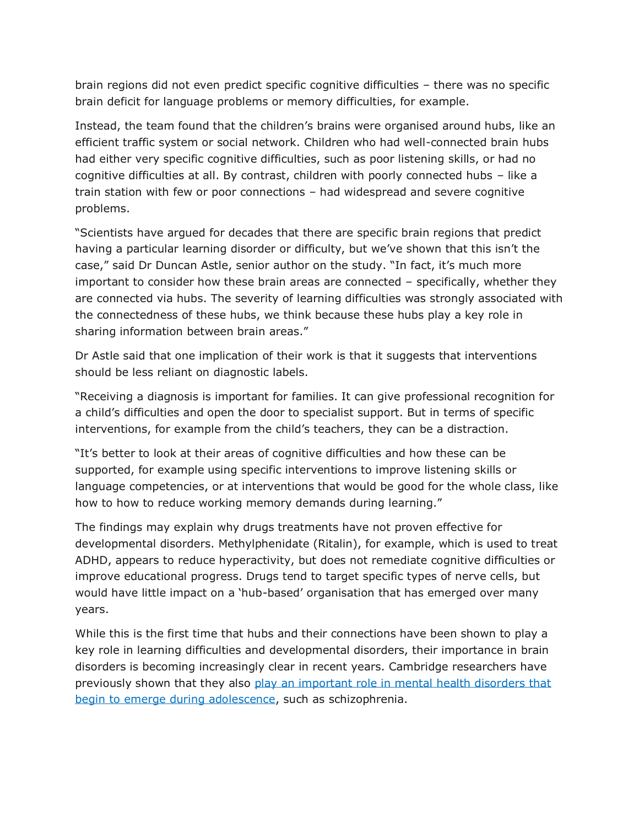brain regions did not even predict specific cognitive difficulties – there was no specific brain deficit for language problems or memory difficulties, for example.

Instead, the team found that the children's brains were organised around hubs, like an efficient traffic system or social network. Children who had well-connected brain hubs had either very specific cognitive difficulties, such as poor listening skills, or had no cognitive difficulties at all. By contrast, children with poorly connected hubs – like a train station with few or poor connections – had widespread and severe cognitive problems.

"Scientists have argued for decades that there are specific brain regions that predict having a particular learning disorder or difficulty, but we've shown that this isn't the case," said Dr Duncan Astle, senior author on the study. "In fact, it's much more important to consider how these brain areas are connected – specifically, whether they are connected via hubs. The severity of learning difficulties was strongly associated with the connectedness of these hubs, we think because these hubs play a key role in sharing information between brain areas."

Dr Astle said that one implication of their work is that it suggests that interventions should be less reliant on diagnostic labels.

"Receiving a diagnosis is important for families. It can give professional recognition for a child's difficulties and open the door to specialist support. But in terms of specific interventions, for example from the child's teachers, they can be a distraction.

"It's better to look at their areas of cognitive difficulties and how these can be supported, for example using specific interventions to improve listening skills or language competencies, or at interventions that would be good for the whole class, like how to how to reduce working memory demands during learning."

The findings may explain why drugs treatments have not proven effective for developmental disorders. Methylphenidate (Ritalin), for example, which is used to treat ADHD, appears to reduce hyperactivity, but does not remediate cognitive difficulties or improve educational progress. Drugs tend to target specific types of nerve cells, but would have little impact on a 'hub-based' organisation that has emerged over many years.

While this is the first time that hubs and their connections have been shown to play a key role in learning difficulties and developmental disorders, their importance in brain disorders is becoming increasingly clear in recent years. Cambridge researchers have previously shown that they also [play an important role in mental health disorders that](https://www.cam.ac.uk/research/news/changes-in-brain-structure-during-teenage-years-provide-clues-to-onset-of-mental-health-problems)  [begin to emerge during adolescence,](https://www.cam.ac.uk/research/news/changes-in-brain-structure-during-teenage-years-provide-clues-to-onset-of-mental-health-problems) such as schizophrenia.